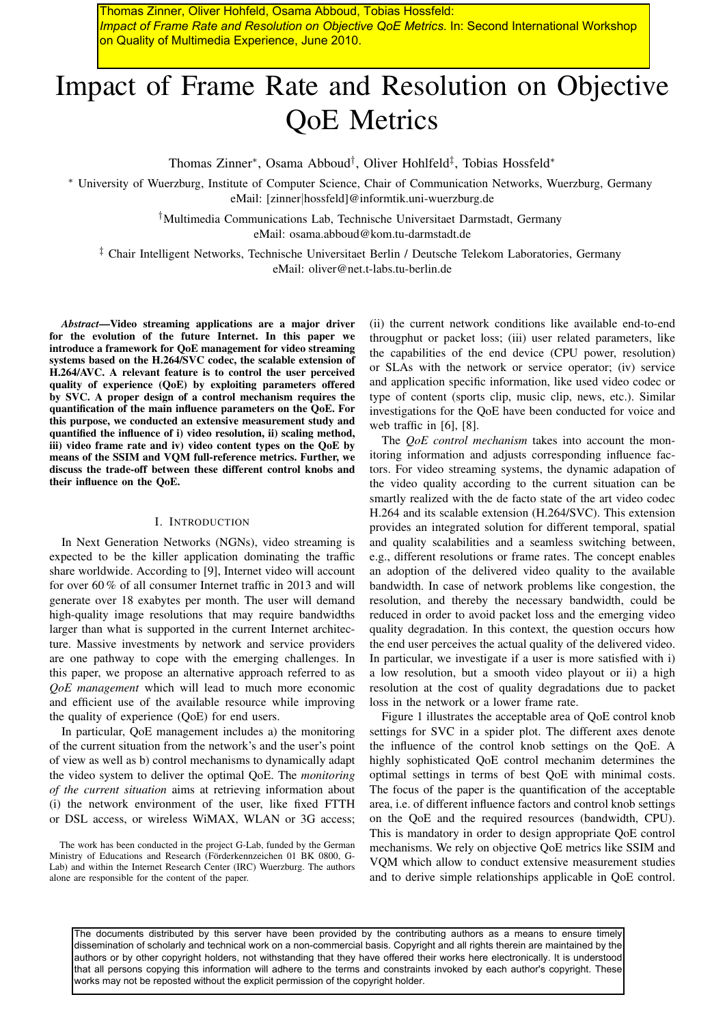Thomas Zinner, Oliver Hohfeld, Osama Abboud, Tobias Hossfeld: *Impact of Frame Rate and Resolution on Objective QoE Metrics*. In: Second International Workshop on Quality of Multimedia Experience, June 2010.

# Impact of Frame Rate and Resolution on Objective QoE Metrics

Thomas Zinner<sup>\*</sup>, Osama Abboud<sup>†</sup>, Oliver Hohlfeld<sup>‡</sup>, Tobias Hossfeld<sup>\*</sup>

<sup>∗</sup> University of Wuerzburg, Institute of Computer Science, Chair of Communication Networks, Wuerzburg, Germany eMail: [zinner|hossfeld]@informtik.uni-wuerzburg.de

> †Multimedia Communications Lab, Technische Universitaet Darmstadt, Germany eMail: osama.abboud@kom.tu-darmstadt.de

‡ Chair Intelligent Networks, Technische Universitaet Berlin / Deutsche Telekom Laboratories, Germany eMail: oliver@net.t-labs.tu-berlin.de

*Abstract*—Video streaming applications are a major driver for the evolution of the future Internet. In this paper we introduce a framework for QoE management for video streaming systems based on the H.264/SVC codec, the scalable extension of H.264/AVC. A relevant feature is to control the user perceived quality of experience (QoE) by exploiting parameters offered by SVC. A proper design of a control mechanism requires the quantification of the main influence parameters on the QoE. For this purpose, we conducted an extensive measurement study and quantified the influence of i) video resolution, ii) scaling method, iii) video frame rate and iv) video content types on the QoE by means of the SSIM and VQM full-reference metrics. Further, we discuss the trade-off between these different control knobs and their influence on the QoE.

## I. INTRODUCTION

In Next Generation Networks (NGNs), video streaming is expected to be the killer application dominating the traffic share worldwide. According to [9], Internet video will account for over 60 % of all consumer Internet traffic in 2013 and will generate over 18 exabytes per month. The user will demand high-quality image resolutions that may require bandwidths larger than what is supported in the current Internet architecture. Massive investments by network and service providers are one pathway to cope with the emerging challenges. In this paper, we propose an alternative approach referred to as *QoE management* which will lead to much more economic and efficient use of the available resource while improving the quality of experience (QoE) for end users.

In particular, QoE management includes a) the monitoring of the current situation from the network's and the user's point of view as well as b) control mechanisms to dynamically adapt the video system to deliver the optimal QoE. The *monitoring of the current situation* aims at retrieving information about (i) the network environment of the user, like fixed FTTH or DSL access, or wireless WiMAX, WLAN or 3G access;

The work has been conducted in the project G-Lab, funded by the German Ministry of Educations and Research (Förderkennzeichen 01 BK 0800, G-Lab) and within the Internet Research Center (IRC) Wuerzburg. The authors alone are responsible for the content of the paper.

(ii) the current network conditions like available end-to-end througphut or packet loss; (iii) user related parameters, like the capabilities of the end device (CPU power, resolution) or SLAs with the network or service operator; (iv) service and application specific information, like used video codec or type of content (sports clip, music clip, news, etc.). Similar investigations for the QoE have been conducted for voice and web traffic in [6], [8].

The *QoE control mechanism* takes into account the monitoring information and adjusts corresponding influence factors. For video streaming systems, the dynamic adapation of the video quality according to the current situation can be smartly realized with the de facto state of the art video codec H.264 and its scalable extension (H.264/SVC). This extension provides an integrated solution for different temporal, spatial and quality scalabilities and a seamless switching between, e.g., different resolutions or frame rates. The concept enables an adoption of the delivered video quality to the available bandwidth. In case of network problems like congestion, the resolution, and thereby the necessary bandwidth, could be reduced in order to avoid packet loss and the emerging video quality degradation. In this context, the question occurs how the end user perceives the actual quality of the delivered video. In particular, we investigate if a user is more satisfied with i) a low resolution, but a smooth video playout or ii) a high resolution at the cost of quality degradations due to packet loss in the network or a lower frame rate.

Figure 1 illustrates the acceptable area of QoE control knob settings for SVC in a spider plot. The different axes denote the influence of the control knob settings on the QoE. A highly sophisticated QoE control mechanim determines the optimal settings in terms of best QoE with minimal costs. The focus of the paper is the quantification of the acceptable area, i.e. of different influence factors and control knob settings on the QoE and the required resources (bandwidth, CPU). This is mandatory in order to design appropriate QoE control mechanisms. We rely on objective QoE metrics like SSIM and VQM which allow to conduct extensive measurement studies and to derive simple relationships applicable in QoE control.

The documents distributed by this server have been provided by the contributing authors as a means to ensure timely dissemination of scholarly and technical work on a non-commercial basis. Copyright and all rights therein are maintained by the authors or by other copyright holders, not withstanding that they have offered their works here electronically. It is understood that all persons copying this information will adhere to the terms and constraints invoked by each author's copyright. These works may not be reposted without the explicit permission of the copyright holder.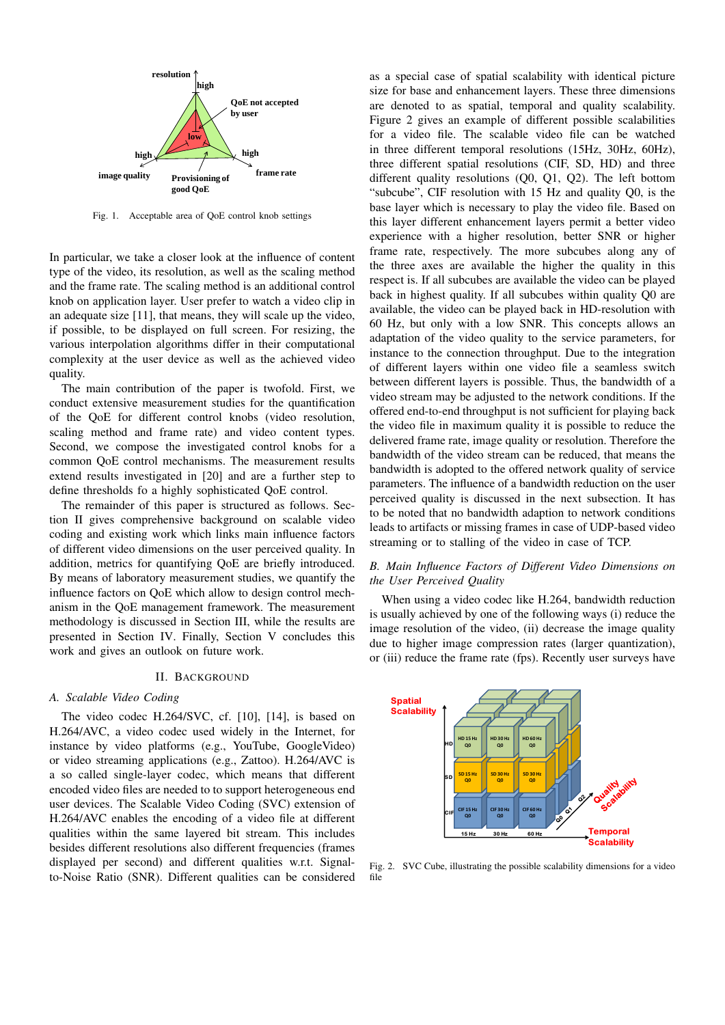

Fig. 1. Acceptable area of QoE control knob settings

In particular, we take a closer look at the influence of content type of the video, its resolution, as well as the scaling method and the frame rate. The scaling method is an additional control knob on application layer. User prefer to watch a video clip in an adequate size [11], that means, they will scale up the video, if possible, to be displayed on full screen. For resizing, the various interpolation algorithms differ in their computational complexity at the user device as well as the achieved video quality.

The main contribution of the paper is twofold. First, we conduct extensive measurement studies for the quantification of the QoE for different control knobs (video resolution, scaling method and frame rate) and video content types. Second, we compose the investigated control knobs for a common QoE control mechanisms. The measurement results extend results investigated in [20] and are a further step to define thresholds fo a highly sophisticated QoE control.

The remainder of this paper is structured as follows. Section II gives comprehensive background on scalable video coding and existing work which links main influence factors of different video dimensions on the user perceived quality. In addition, metrics for quantifying QoE are briefly introduced. By means of laboratory measurement studies, we quantify the influence factors on QoE which allow to design control mechanism in the QoE management framework. The measurement methodology is discussed in Section III, while the results are presented in Section IV. Finally, Section V concludes this work and gives an outlook on future work.

#### II. BACKGROUND

## *A. Scalable Video Coding*

The video codec H.264/SVC, cf. [10], [14], is based on H.264/AVC, a video codec used widely in the Internet, for instance by video platforms (e.g., YouTube, GoogleVideo) or video streaming applications (e.g., Zattoo). H.264/AVC is a so called single-layer codec, which means that different encoded video files are needed to to support heterogeneous end user devices. The Scalable Video Coding (SVC) extension of H.264/AVC enables the encoding of a video file at different qualities within the same layered bit stream. This includes besides different resolutions also different frequencies (frames displayed per second) and different qualities w.r.t. Signalto-Noise Ratio (SNR). Different qualities can be considered

as a special case of spatial scalability with identical picture size for base and enhancement layers. These three dimensions are denoted to as spatial, temporal and quality scalability. Figure 2 gives an example of different possible scalabilities for a video file. The scalable video file can be watched in three different temporal resolutions (15Hz, 30Hz, 60Hz), three different spatial resolutions (CIF, SD, HD) and three different quality resolutions (Q0, Q1, Q2). The left bottom "subcube", CIF resolution with 15 Hz and quality Q0, is the base layer which is necessary to play the video file. Based on this layer different enhancement layers permit a better video experience with a higher resolution, better SNR or higher frame rate, respectively. The more subcubes along any of the three axes are available the higher the quality in this respect is. If all subcubes are available the video can be played back in highest quality. If all subcubes within quality Q0 are available, the video can be played back in HD-resolution with 60 Hz, but only with a low SNR. This concepts allows an adaptation of the video quality to the service parameters, for instance to the connection throughput. Due to the integration of different layers within one video file a seamless switch between different layers is possible. Thus, the bandwidth of a video stream may be adjusted to the network conditions. If the offered end-to-end throughput is not sufficient for playing back the video file in maximum quality it is possible to reduce the delivered frame rate, image quality or resolution. Therefore the bandwidth of the video stream can be reduced, that means the bandwidth is adopted to the offered network quality of service parameters. The influence of a bandwidth reduction on the user perceived quality is discussed in the next subsection. It has to be noted that no bandwidth adaption to network conditions leads to artifacts or missing frames in case of UDP-based video streaming or to stalling of the video in case of TCP.

# *B. Main Influence Factors of Different Video Dimensions on the User Perceived Quality*

When using a video codec like H.264, bandwidth reduction is usually achieved by one of the following ways (i) reduce the image resolution of the video, (ii) decrease the image quality due to higher image compression rates (larger quantization), or (iii) reduce the frame rate (fps). Recently user surveys have



Fig. 2. SVC Cube, illustrating the possible scalability dimensions for a video file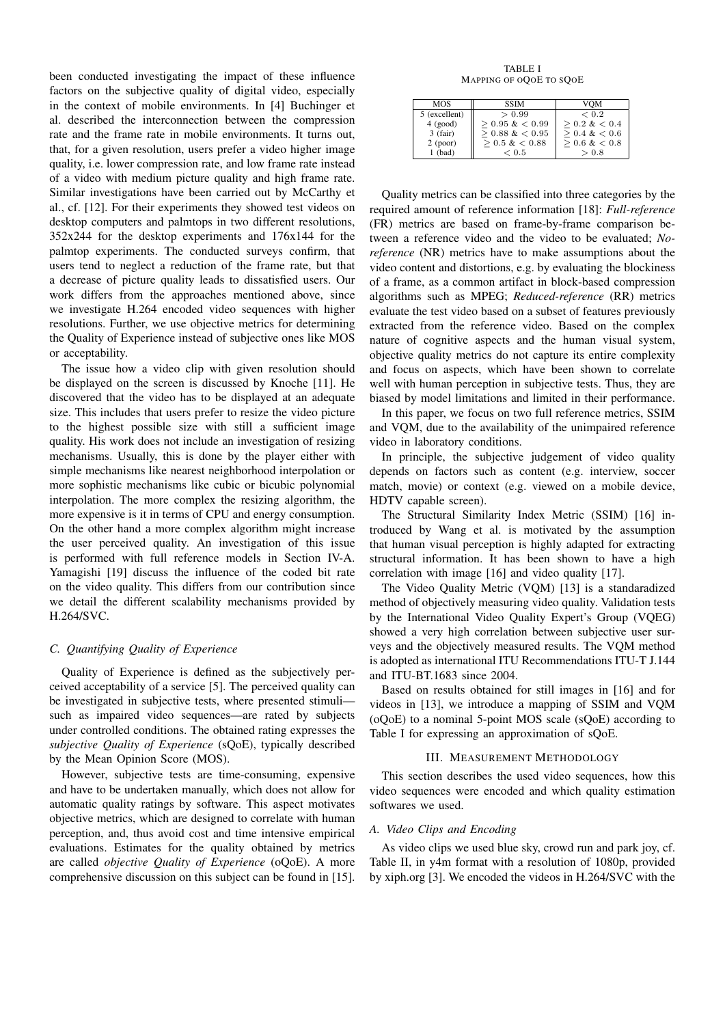been conducted investigating the impact of these influence factors on the subjective quality of digital video, especially in the context of mobile environments. In [4] Buchinger et al. described the interconnection between the compression rate and the frame rate in mobile environments. It turns out, that, for a given resolution, users prefer a video higher image quality, i.e. lower compression rate, and low frame rate instead of a video with medium picture quality and high frame rate. Similar investigations have been carried out by McCarthy et al., cf. [12]. For their experiments they showed test videos on desktop computers and palmtops in two different resolutions, 352x244 for the desktop experiments and 176x144 for the palmtop experiments. The conducted surveys confirm, that users tend to neglect a reduction of the frame rate, but that a decrease of picture quality leads to dissatisfied users. Our work differs from the approaches mentioned above, since we investigate H.264 encoded video sequences with higher resolutions. Further, we use objective metrics for determining the Quality of Experience instead of subjective ones like MOS or acceptability.

The issue how a video clip with given resolution should be displayed on the screen is discussed by Knoche [11]. He discovered that the video has to be displayed at an adequate size. This includes that users prefer to resize the video picture to the highest possible size with still a sufficient image quality. His work does not include an investigation of resizing mechanisms. Usually, this is done by the player either with simple mechanisms like nearest neighborhood interpolation or more sophistic mechanisms like cubic or bicubic polynomial interpolation. The more complex the resizing algorithm, the more expensive is it in terms of CPU and energy consumption. On the other hand a more complex algorithm might increase the user perceived quality. An investigation of this issue is performed with full reference models in Section IV-A. Yamagishi [19] discuss the influence of the coded bit rate on the video quality. This differs from our contribution since we detail the different scalability mechanisms provided by H.264/SVC.

## *C. Quantifying Quality of Experience*

Quality of Experience is defined as the subjectively perceived acceptability of a service [5]. The perceived quality can be investigated in subjective tests, where presented stimuli such as impaired video sequences—are rated by subjects under controlled conditions. The obtained rating expresses the *subjective Quality of Experience* (sQoE), typically described by the Mean Opinion Score (MOS).

However, subjective tests are time-consuming, expensive and have to be undertaken manually, which does not allow for automatic quality ratings by software. This aspect motivates objective metrics, which are designed to correlate with human perception, and, thus avoid cost and time intensive empirical evaluations. Estimates for the quality obtained by metrics are called *objective Quality of Experience* (oQoE). A more comprehensive discussion on this subject can be found in [15].

TABLE I MAPPING OF OQOE TO SQOE

| <b>MOS</b>    | <b>SSIM</b>      | VOM            |
|---------------|------------------|----------------|
| 5 (excellent) | > 0.99           | ${}_{0.2}$     |
| 4 (good)      | $> 0.95 \< 0.99$ | $> 0.2 \< 0.4$ |
| $3$ (fair)    | $> 0.88 \< 0.95$ | $> 0.4 \< 0.6$ |
| $2$ (poor)    | $> 0.5 \< 0.88$  | $> 0.6 \< 0.8$ |
| $1$ (bad)     | ${}_{\leq 0.5}$  | > 0.8          |

Quality metrics can be classified into three categories by the required amount of reference information [18]: *Full-reference* (FR) metrics are based on frame-by-frame comparison between a reference video and the video to be evaluated; *Noreference* (NR) metrics have to make assumptions about the video content and distortions, e.g. by evaluating the blockiness of a frame, as a common artifact in block-based compression algorithms such as MPEG; *Reduced-reference* (RR) metrics evaluate the test video based on a subset of features previously extracted from the reference video. Based on the complex nature of cognitive aspects and the human visual system, objective quality metrics do not capture its entire complexity and focus on aspects, which have been shown to correlate well with human perception in subjective tests. Thus, they are biased by model limitations and limited in their performance.

In this paper, we focus on two full reference metrics, SSIM and VQM, due to the availability of the unimpaired reference video in laboratory conditions.

In principle, the subjective judgement of video quality depends on factors such as content (e.g. interview, soccer match, movie) or context (e.g. viewed on a mobile device, HDTV capable screen).

The Structural Similarity Index Metric (SSIM) [16] introduced by Wang et al. is motivated by the assumption that human visual perception is highly adapted for extracting structural information. It has been shown to have a high correlation with image [16] and video quality [17].

The Video Quality Metric (VQM) [13] is a standaradized method of objectively measuring video quality. Validation tests by the International Video Quality Expert's Group (VQEG) showed a very high correlation between subjective user surveys and the objectively measured results. The VQM method is adopted as international ITU Recommendations ITU-T J.144 and ITU-BT.1683 since 2004.

Based on results obtained for still images in [16] and for videos in [13], we introduce a mapping of SSIM and VQM (oQoE) to a nominal 5-point MOS scale (sQoE) according to Table I for expressing an approximation of sQoE.

## III. MEASUREMENT METHODOLOGY

This section describes the used video sequences, how this video sequences were encoded and which quality estimation softwares we used.

## *A. Video Clips and Encoding*

As video clips we used blue sky, crowd run and park joy, cf. Table II, in y4m format with a resolution of 1080p, provided by xiph.org [3]. We encoded the videos in H.264/SVC with the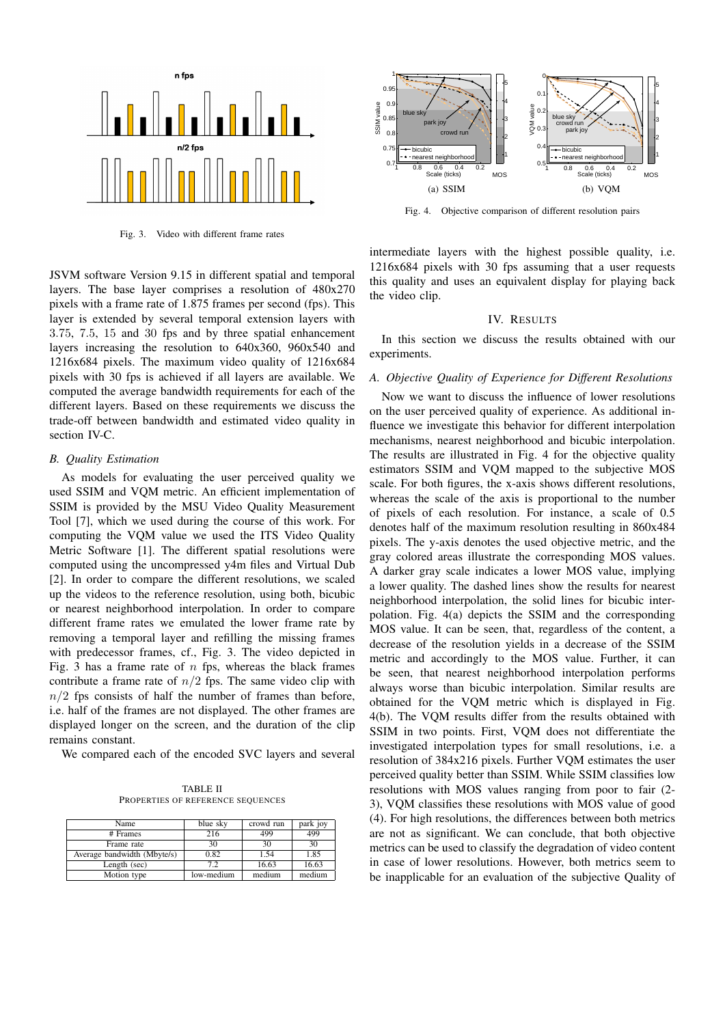

Fig. 3. Video with different frame rates

JSVM software Version 9.15 in different spatial and temporal layers. The base layer comprises a resolution of 480x270 pixels with a frame rate of 1.875 frames per second (fps). This layer is extended by several temporal extension layers with 3.75, 7.5, 15 and 30 fps and by three spatial enhancement layers increasing the resolution to 640x360, 960x540 and 1216x684 pixels. The maximum video quality of 1216x684 pixels with 30 fps is achieved if all layers are available. We computed the average bandwidth requirements for each of the different layers. Based on these requirements we discuss the trade-off between bandwidth and estimated video quality in section IV-C.

# *B. Quality Estimation*

As models for evaluating the user perceived quality we used SSIM and VQM metric. An efficient implementation of SSIM is provided by the MSU Video Quality Measurement Tool [7], which we used during the course of this work. For computing the VQM value we used the ITS Video Quality Metric Software [1]. The different spatial resolutions were computed using the uncompressed y4m files and Virtual Dub [2]. In order to compare the different resolutions, we scaled up the videos to the reference resolution, using both, bicubic or nearest neighborhood interpolation. In order to compare different frame rates we emulated the lower frame rate by removing a temporal layer and refilling the missing frames with predecessor frames, cf., Fig. 3. The video depicted in Fig. 3 has a frame rate of  $n$  fps, whereas the black frames contribute a frame rate of  $n/2$  fps. The same video clip with  $n/2$  fps consists of half the number of frames than before, i.e. half of the frames are not displayed. The other frames are displayed longer on the screen, and the duration of the clip remains constant.

We compared each of the encoded SVC layers and several

TABLE II PROPERTIES OF REFERENCE SEQUENCES

| Name                        | blue sky   | crowd run | park joy |
|-----------------------------|------------|-----------|----------|
| # Frames                    | 216        | 499       | 499      |
| Frame rate                  | 30         | 30        | 30       |
| Average bandwidth (Mbyte/s) | 0.82       | 1.54      | 1.85     |
| Length (sec)                | 7.2        | 16.63     | 16.63    |
| Motion type                 | low-medium | medium    | medium   |



Fig. 4. Objective comparison of different resolution pairs

intermediate layers with the highest possible quality, i.e. 1216x684 pixels with 30 fps assuming that a user requests this quality and uses an equivalent display for playing back the video clip.

## IV. RESULTS

In this section we discuss the results obtained with our experiments.

## *A. Objective Quality of Experience for Different Resolutions*

Now we want to discuss the influence of lower resolutions on the user perceived quality of experience. As additional influence we investigate this behavior for different interpolation mechanisms, nearest neighborhood and bicubic interpolation. The results are illustrated in Fig. 4 for the objective quality estimators SSIM and VQM mapped to the subjective MOS scale. For both figures, the x-axis shows different resolutions, whereas the scale of the axis is proportional to the number of pixels of each resolution. For instance, a scale of 0.5 denotes half of the maximum resolution resulting in 860x484 pixels. The y-axis denotes the used objective metric, and the gray colored areas illustrate the corresponding MOS values. A darker gray scale indicates a lower MOS value, implying a lower quality. The dashed lines show the results for nearest neighborhood interpolation, the solid lines for bicubic interpolation. Fig. 4(a) depicts the SSIM and the corresponding MOS value. It can be seen, that, regardless of the content, a decrease of the resolution yields in a decrease of the SSIM metric and accordingly to the MOS value. Further, it can be seen, that nearest neighborhood interpolation performs always worse than bicubic interpolation. Similar results are obtained for the VQM metric which is displayed in Fig. 4(b). The VQM results differ from the results obtained with SSIM in two points. First, VQM does not differentiate the investigated interpolation types for small resolutions, i.e. a resolution of 384x216 pixels. Further VQM estimates the user perceived quality better than SSIM. While SSIM classifies low resolutions with MOS values ranging from poor to fair (2- 3), VQM classifies these resolutions with MOS value of good (4). For high resolutions, the differences between both metrics are not as significant. We can conclude, that both objective metrics can be used to classify the degradation of video content in case of lower resolutions. However, both metrics seem to be inapplicable for an evaluation of the subjective Quality of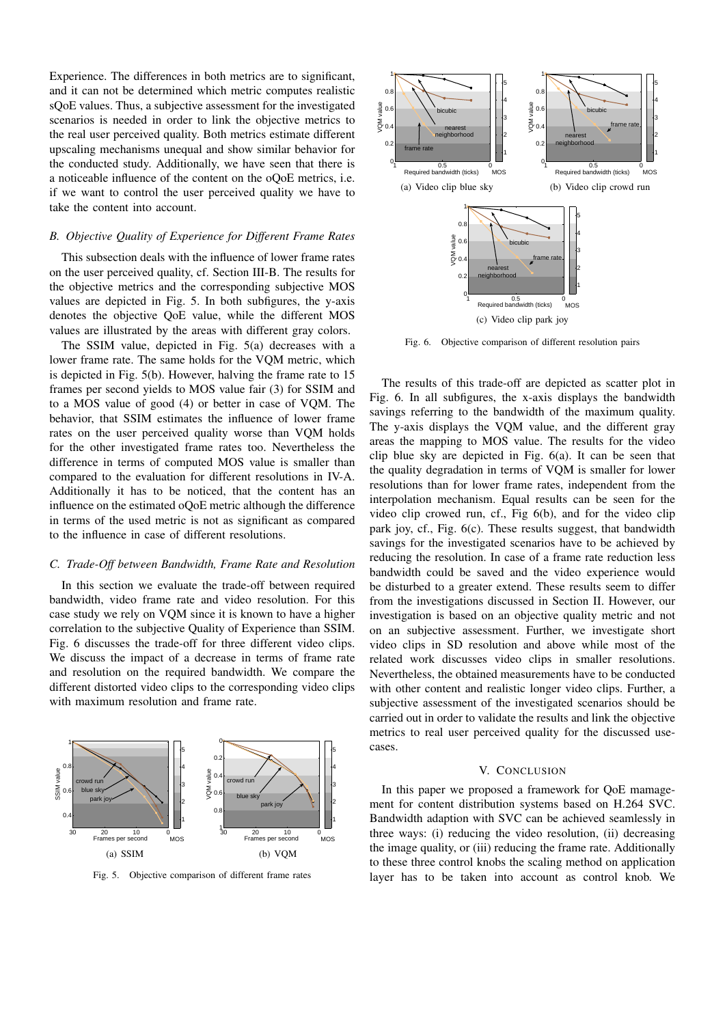Experience. The differences in both metrics are to significant, and it can not be determined which metric computes realistic sQoE values. Thus, a subjective assessment for the investigated scenarios is needed in order to link the objective metrics to the real user perceived quality. Both metrics estimate different upscaling mechanisms unequal and show similar behavior for the conducted study. Additionally, we have seen that there is a noticeable influence of the content on the oQoE metrics, i.e. if we want to control the user perceived quality we have to take the content into account.

## *B. Objective Quality of Experience for Different Frame Rates*

This subsection deals with the influence of lower frame rates on the user perceived quality, cf. Section III-B. The results for the objective metrics and the corresponding subjective MOS values are depicted in Fig. 5. In both subfigures, the y-axis denotes the objective QoE value, while the different MOS values are illustrated by the areas with different gray colors.

The SSIM value, depicted in Fig. 5(a) decreases with a lower frame rate. The same holds for the VQM metric, which is depicted in Fig. 5(b). However, halving the frame rate to 15 frames per second yields to MOS value fair (3) for SSIM and to a MOS value of good (4) or better in case of VQM. The behavior, that SSIM estimates the influence of lower frame rates on the user perceived quality worse than VQM holds for the other investigated frame rates too. Nevertheless the difference in terms of computed MOS value is smaller than compared to the evaluation for different resolutions in IV-A. Additionally it has to be noticed, that the content has an influence on the estimated oQoE metric although the difference in terms of the used metric is not as significant as compared to the influence in case of different resolutions.

## *C. Trade-Off between Bandwidth, Frame Rate and Resolution*

In this section we evaluate the trade-off between required bandwidth, video frame rate and video resolution. For this case study we rely on VQM since it is known to have a higher correlation to the subjective Quality of Experience than SSIM. Fig. 6 discusses the trade-off for three different video clips. We discuss the impact of a decrease in terms of frame rate and resolution on the required bandwidth. We compare the different distorted video clips to the corresponding video clips with maximum resolution and frame rate.



Fig. 5. Objective comparison of different frame rates



Fig. 6. Objective comparison of different resolution pairs

The results of this trade-off are depicted as scatter plot in Fig. 6. In all subfigures, the x-axis displays the bandwidth savings referring to the bandwidth of the maximum quality. The y-axis displays the VQM value, and the different gray areas the mapping to MOS value. The results for the video clip blue sky are depicted in Fig. 6(a). It can be seen that the quality degradation in terms of VQM is smaller for lower resolutions than for lower frame rates, independent from the interpolation mechanism. Equal results can be seen for the video clip crowed run, cf., Fig 6(b), and for the video clip park joy, cf., Fig. 6(c). These results suggest, that bandwidth savings for the investigated scenarios have to be achieved by reducing the resolution. In case of a frame rate reduction less bandwidth could be saved and the video experience would be disturbed to a greater extend. These results seem to differ from the investigations discussed in Section II. However, our investigation is based on an objective quality metric and not on an subjective assessment. Further, we investigate short video clips in SD resolution and above while most of the related work discusses video clips in smaller resolutions. Nevertheless, the obtained measurements have to be conducted with other content and realistic longer video clips. Further, a subjective assessment of the investigated scenarios should be carried out in order to validate the results and link the objective metrics to real user perceived quality for the discussed usecases.

## V. CONCLUSION

In this paper we proposed a framework for QoE mamagement for content distribution systems based on H.264 SVC. Bandwidth adaption with SVC can be achieved seamlessly in three ways: (i) reducing the video resolution, (ii) decreasing the image quality, or (iii) reducing the frame rate. Additionally to these three control knobs the scaling method on application layer has to be taken into account as control knob. We